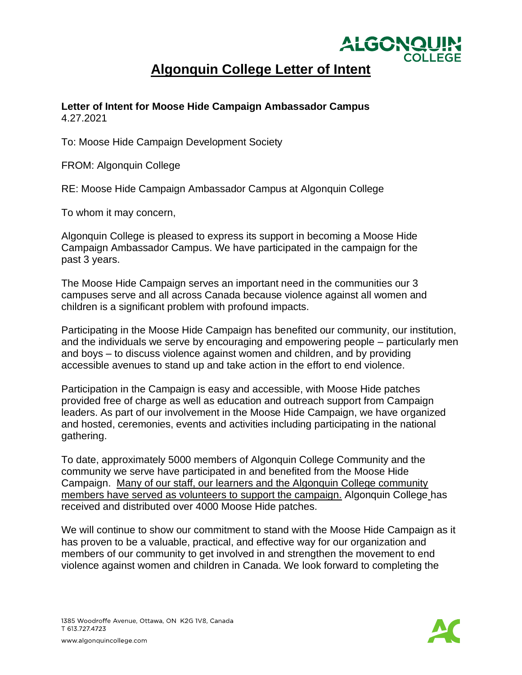

## **Algonquin College Letter of Intent**

## **Letter of Intent for Moose Hide Campaign Ambassador Campus** 4.27.2021

To: Moose Hide Campaign Development Society

FROM: Algonquin College

RE: Moose Hide Campaign Ambassador Campus at Algonquin College

To whom it may concern,

Algonquin College is pleased to express its support in becoming a Moose Hide Campaign Ambassador Campus. We have participated in the campaign for the past 3 years.

The Moose Hide Campaign serves an important need in the communities our 3 campuses serve and all across Canada because violence against all women and children is a significant problem with profound impacts.

Participating in the Moose Hide Campaign has benefited our community, our institution, and the individuals we serve by encouraging and empowering people – particularly men and boys – to discuss violence against women and children, and by providing accessible avenues to stand up and take action in the effort to end violence.

Participation in the Campaign is easy and accessible, with Moose Hide patches provided free of charge as well as education and outreach support from Campaign leaders. As part of our involvement in the Moose Hide Campaign, we have organized and hosted, ceremonies, events and activities including participating in the national gathering.

To date, approximately 5000 members of Algonquin College Community and the community we serve have participated in and benefited from the Moose Hide Campaign. Many of our staff, our learners and the Algonquin College community members have served as volunteers to support the campaign. Algonquin College has received and distributed over 4000 Moose Hide patches.

We will continue to show our commitment to stand with the Moose Hide Campaign as it has proven to be a valuable, practical, and effective way for our organization and members of our community to get involved in and strengthen the movement to end violence against women and children in Canada. We look forward to completing the